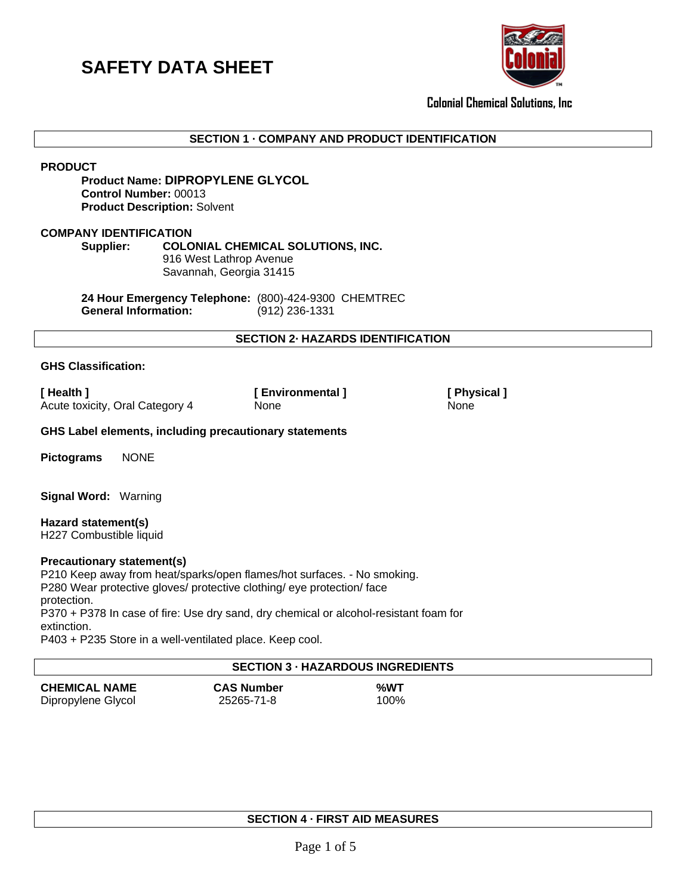

**Colonial Chemical Solutions, Inc**

# **SECTION 1 · COMPANY AND PRODUCT IDENTIFICATION**

**PRODUCT**

# **Product Name: DIPROPYLENE GLYCOL Control Number:** 00013 **Product Description:** Solvent

### **COMPANY IDENTIFICATION**

### **Supplier: COLONIAL CHEMICAL SOLUTIONS, INC.**

916 West Lathrop Avenue Savannah, Georgia 31415

**24 Hour Emergency Telephone:** (800)-424-9300 CHEMTREC **General Information:** (912) 236-1331

# **SECTION 2· HAZARDS IDENTIFICATION**

## **GHS Classification:**

**[ Health ] [ Environmental ] [ Physical ]**  Acute toxicity, Oral Category 4 None None None

**GHS Label elements, including precautionary statements** 

**Pictograms** NONE

**Signal Word:** Warning

**Hazard statement(s)** H227 Combustible liquid

#### **Precautionary statement(s)**

P210 Keep away from heat/sparks/open flames/hot surfaces. - No smoking. P280 Wear protective gloves/ protective clothing/ eye protection/ face protection. P370 + P378 In case of fire: Use dry sand, dry chemical or alcohol-resistant foam for extinction.

P403 + P235 Store in a well-ventilated place. Keep cool.

# **SECTION 3 · HAZARDOUS INGREDIENTS CHEMICAL NAME CAS Number %WT** Dipropylene Glycol 25265-71-8 100%

## **SECTION 4 · FIRST AID MEASURES**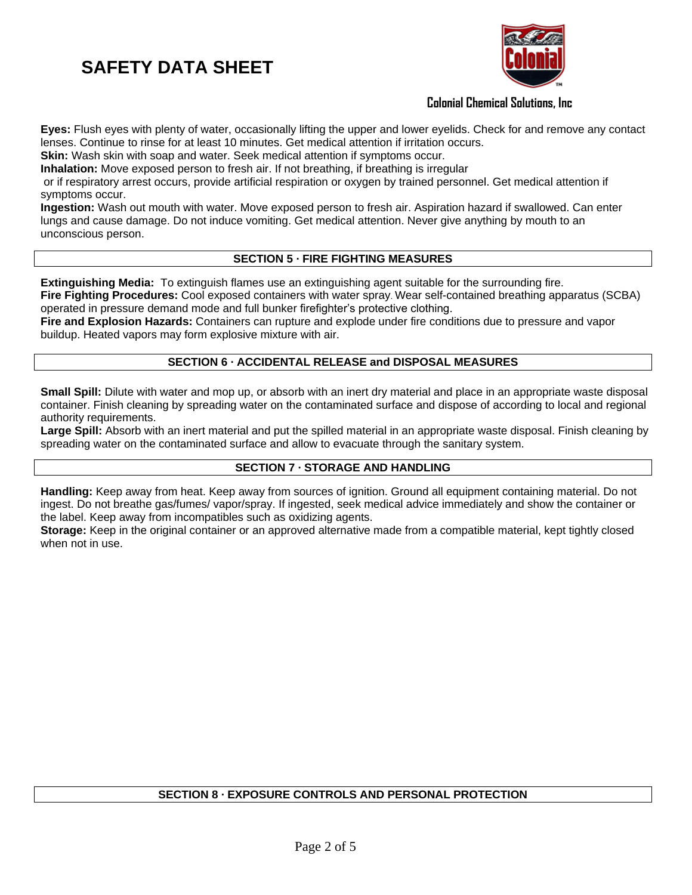

# **Colonial Chemical Solutions, Inc**

**Eyes:** Flush eyes with plenty of water, occasionally lifting the upper and lower eyelids. Check for and remove any contact lenses. Continue to rinse for at least 10 minutes. Get medical attention if irritation occurs.

**Skin:** Wash skin with soap and water. Seek medical attention if symptoms occur.

**Inhalation:** Move exposed person to fresh air. If not breathing, if breathing is irregular

or if respiratory arrest occurs, provide artificial respiration or oxygen by trained personnel. Get medical attention if symptoms occur.

**Ingestion:** Wash out mouth with water. Move exposed person to fresh air. Aspiration hazard if swallowed. Can enter lungs and cause damage. Do not induce vomiting. Get medical attention. Never give anything by mouth to an unconscious person.

# **SECTION 5 · FIRE FIGHTING MEASURES**

**Extinguishing Media:** To extinguish flames use an extinguishing agent suitable for the surrounding fire. **Fire Fighting Procedures:** Cool exposed containers with water spray. Wear self-contained breathing apparatus (SCBA) operated in pressure demand mode and full bunker firefighter's protective clothing.

**Fire and Explosion Hazards:** Containers can rupture and explode under fire conditions due to pressure and vapor buildup. Heated vapors may form explosive mixture with air.

# **SECTION 6 · ACCIDENTAL RELEASE and DISPOSAL MEASURES**

**Small Spill:** Dilute with water and mop up, or absorb with an inert dry material and place in an appropriate waste disposal container. Finish cleaning by spreading water on the contaminated surface and dispose of according to local and regional authority requirements.

**Large Spill:** Absorb with an inert material and put the spilled material in an appropriate waste disposal. Finish cleaning by spreading water on the contaminated surface and allow to evacuate through the sanitary system.

# **SECTION 7 · STORAGE AND HANDLING**

**Handling:** Keep away from heat. Keep away from sources of ignition. Ground all equipment containing material. Do not ingest. Do not breathe gas/fumes/ vapor/spray. If ingested, seek medical advice immediately and show the container or the label. Keep away from incompatibles such as oxidizing agents.

**Storage:** Keep in the original container or an approved alternative made from a compatible material, kept tightly closed when not in use.

# **SECTION 8 · EXPOSURE CONTROLS AND PERSONAL PROTECTION**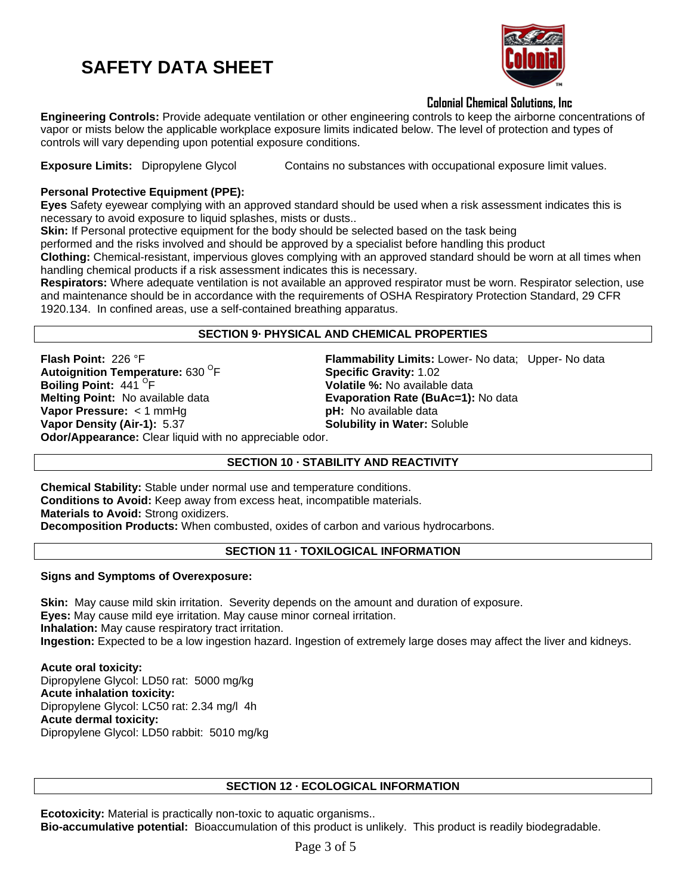

# **Colonial Chemical Solutions, Inc**

**Engineering Controls:** Provide adequate ventilation or other engineering controls to keep the airborne concentrations of vapor or mists below the applicable workplace exposure limits indicated below. The level of protection and types of controls will vary depending upon potential exposure conditions.

**Exposure Limits:** Dipropylene Glycol Contains no substances with occupational exposure limit values.

# **Personal Protective Equipment (PPE):**

**Eyes** Safety eyewear complying with an approved standard should be used when a risk assessment indicates this is necessary to avoid exposure to liquid splashes, mists or dusts..

**Skin:** If Personal protective equipment for the body should be selected based on the task being

performed and the risks involved and should be approved by a specialist before handling this product

**Clothing:** Chemical-resistant, impervious gloves complying with an approved standard should be worn at all times when handling chemical products if a risk assessment indicates this is necessary.

**Respirators:** Where adequate ventilation is not available an approved respirator must be worn. Respirator selection, use and maintenance should be in accordance with the requirements of OSHA Respiratory Protection Standard, 29 CFR 1920.134. In confined areas, use a self-contained breathing apparatus.

## **SECTION 9· PHYSICAL AND CHEMICAL PROPERTIES**

**Flash Point:** 226 °F **Flammability Limits:** Lower- No data; Upper- No data **Autoignition Temperature: 630<sup>°</sup>F Boiling Point: 441<sup> O</sup>F<br>Melting Point: No available data Vapor Pressure:** < 1 mmHg<br> **Vapor Density (Air-1):** 5.37 **pH:** No available data **Odor/Appearance:** Clear liquid with no appreciable odor.

**Specific Gravity: 1.02** Volatile %: No available data **Evaporation Rate (BuAc=1): No data Solubility in Water: Soluble** 

# **SECTION 10 · STABILITY AND REACTIVITY**

**Chemical Stability:** Stable under normal use and temperature conditions. **Conditions to Avoid:** Keep away from excess heat, incompatible materials. **Materials to Avoid:** Strong oxidizers. **Decomposition Products:** When combusted, oxides of carbon and various hydrocarbons.

# **SECTION 11 · TOXILOGICAL INFORMATION**

**Signs and Symptoms of Overexposure:**

**Skin:** May cause mild skin irritation. Severity depends on the amount and duration of exposure. **Eyes:** May cause mild eye irritation. May cause minor corneal irritation. **Inhalation:** May cause respiratory tract irritation. **Ingestion:** Expected to be a low ingestion hazard. Ingestion of extremely large doses may affect the liver and kidneys.

**Acute oral toxicity:** Dipropylene Glycol: LD50 rat: 5000 mg/kg **Acute inhalation toxicity:** Dipropylene Glycol: LC50 rat: 2.34 mg/l 4h **Acute dermal toxicity:** Dipropylene Glycol: LD50 rabbit: 5010 mg/kg

# **SECTION 12 · ECOLOGICAL INFORMATION**

**Ecotoxicity:** Material is practically non-toxic to aquatic organisms.. **Bio-accumulative potential:** Bioaccumulation of this product is unlikely. This product is readily biodegradable.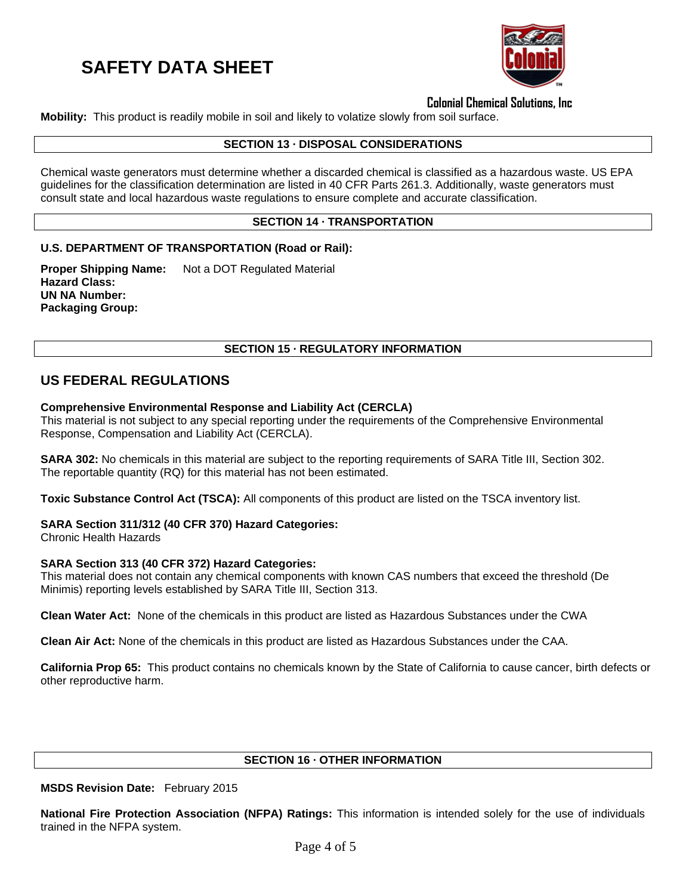

**Colonial Chemical Solutions, Inc**

**Mobility:** This product is readily mobile in soil and likely to volatize slowly from soil surface.

### **SECTION 13 · DISPOSAL CONSIDERATIONS**

Chemical waste generators must determine whether a discarded chemical is classified as a hazardous waste. US EPA guidelines for the classification determination are listed in 40 CFR Parts 261.3. Additionally, waste generators must consult state and local hazardous waste regulations to ensure complete and accurate classification.

## **SECTION 14 · TRANSPORTATION**

## **U.S. DEPARTMENT OF TRANSPORTATION (Road or Rail):**

**Proper Shipping Name:** Not a DOT Regulated Material **Hazard Class: UN NA Number: Packaging Group:**

## **SECTION 15 · REGULATORY INFORMATION**

# **US FEDERAL REGULATIONS**

## **Comprehensive Environmental Response and Liability Act (CERCLA)**

This material is not subject to any special reporting under the requirements of the Comprehensive Environmental Response, Compensation and Liability Act (CERCLA).

**SARA 302:** No chemicals in this material are subject to the reporting requirements of SARA Title III, Section 302. The reportable quantity (RQ) for this material has not been estimated.

**Toxic Substance Control Act (TSCA):** All components of this product are listed on the TSCA inventory list.

## **SARA Section 311/312 (40 CFR 370) Hazard Categories:**

Chronic Health Hazards

## **SARA Section 313 (40 CFR 372) Hazard Categories:**

This material does not contain any chemical components with known CAS numbers that exceed the threshold (De Minimis) reporting levels established by SARA Title III, Section 313.

**Clean Water Act:** None of the chemicals in this product are listed as Hazardous Substances under the CWA

**Clean Air Act:** None of the chemicals in this product are listed as Hazardous Substances under the CAA.

**California Prop 65:** This product contains no chemicals known by the State of California to cause cancer, birth defects or other reproductive harm.

#### **SECTION 16 · OTHER INFORMATION**

**MSDS Revision Date:** February 2015

**National Fire Protection Association (NFPA) Ratings:** This information is intended solely for the use of individuals trained in the NFPA system.